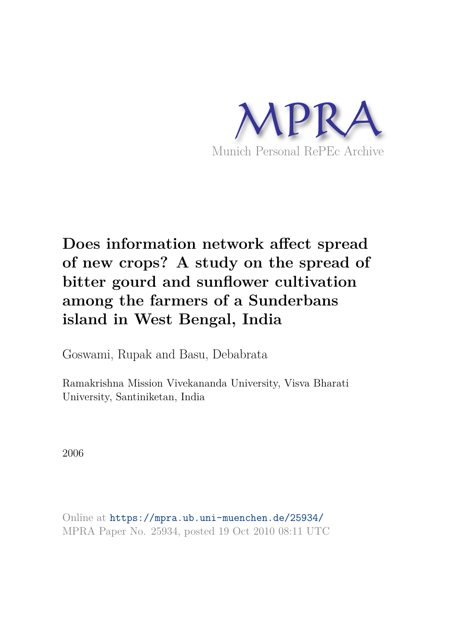

# **Does information network affect spread of new crops? A study on the spread of bitter gourd and sunflower cultivation among the farmers of a Sunderbans island in West Bengal, India**

Goswami, Rupak and Basu, Debabrata

Ramakrishna Mission Vivekananda University, Visva Bharati University, Santiniketan, India

2006

Online at https://mpra.ub.uni-muenchen.de/25934/ MPRA Paper No. 25934, posted 19 Oct 2010 08:11 UTC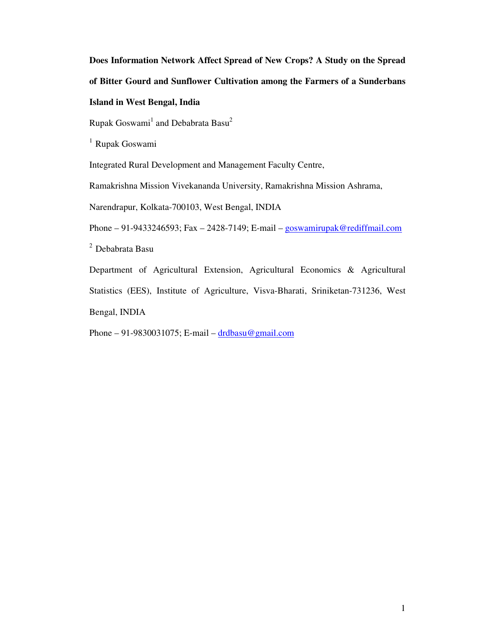**Does Information Network Affect Spread of New Crops? A Study on the Spread of Bitter Gourd and Sunflower Cultivation among the Farmers of a Sunderbans Island in West Bengal, India** 

Rupak Goswami<sup>1</sup> and Debabrata Basu<sup>2</sup>

<sup>1</sup> Rupak Goswami

Integrated Rural Development and Management Faculty Centre,

Ramakrishna Mission Vivekananda University, Ramakrishna Mission Ashrama,

Narendrapur, Kolkata-700103, West Bengal, INDIA

Phone – 91-9433246593; Fax – 2428-7149; E-mail – goswamirupak@rediffmail.com

 $^2$ Debabrata Basu

Department of Agricultural Extension, Agricultural Economics & Agricultural Statistics (EES), Institute of Agriculture, Visva-Bharati, Sriniketan-731236, West Bengal, INDIA

Phone – 91-9830031075; E-mail – drdbasu@gmail.com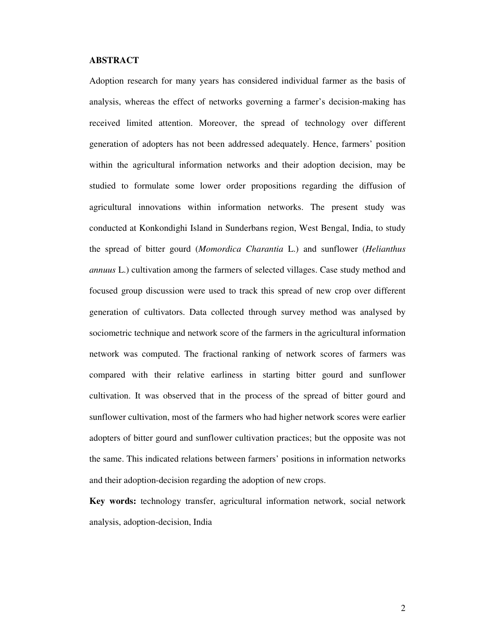# **ABSTRACT**

Adoption research for many years has considered individual farmer as the basis of analysis, whereas the effect of networks governing a farmer's decision-making has received limited attention. Moreover, the spread of technology over different generation of adopters has not been addressed adequately. Hence, farmers' position within the agricultural information networks and their adoption decision, may be studied to formulate some lower order propositions regarding the diffusion of agricultural innovations within information networks. The present study was conducted at Konkondighi Island in Sunderbans region, West Bengal, India, to study the spread of bitter gourd (*Momordica Charantia* L.) and sunflower (*Helianthus annuus* L.) cultivation among the farmers of selected villages. Case study method and focused group discussion were used to track this spread of new crop over different generation of cultivators. Data collected through survey method was analysed by sociometric technique and network score of the farmers in the agricultural information network was computed. The fractional ranking of network scores of farmers was compared with their relative earliness in starting bitter gourd and sunflower cultivation. It was observed that in the process of the spread of bitter gourd and sunflower cultivation, most of the farmers who had higher network scores were earlier adopters of bitter gourd and sunflower cultivation practices; but the opposite was not the same. This indicated relations between farmers' positions in information networks and their adoption-decision regarding the adoption of new crops.

**Key words:** technology transfer, agricultural information network, social network analysis, adoption-decision, India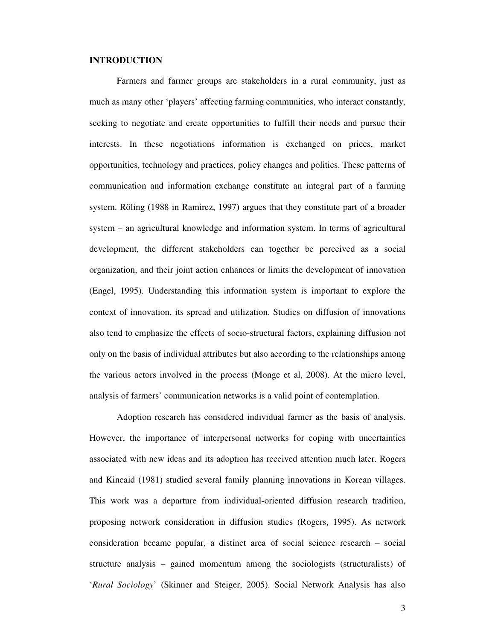# **INTRODUCTION**

Farmers and farmer groups are stakeholders in a rural community, just as much as many other 'players' affecting farming communities, who interact constantly, seeking to negotiate and create opportunities to fulfill their needs and pursue their interests. In these negotiations information is exchanged on prices, market opportunities, technology and practices, policy changes and politics. These patterns of communication and information exchange constitute an integral part of a farming system. Röling (1988 in Ramirez, 1997) argues that they constitute part of a broader system – an agricultural knowledge and information system. In terms of agricultural development, the different stakeholders can together be perceived as a social organization, and their joint action enhances or limits the development of innovation (Engel, 1995). Understanding this information system is important to explore the context of innovation, its spread and utilization. Studies on diffusion of innovations also tend to emphasize the effects of socio-structural factors, explaining diffusion not only on the basis of individual attributes but also according to the relationships among the various actors involved in the process (Monge et al, 2008). At the micro level, analysis of farmers' communication networks is a valid point of contemplation.

Adoption research has considered individual farmer as the basis of analysis. However, the importance of interpersonal networks for coping with uncertainties associated with new ideas and its adoption has received attention much later. Rogers and Kincaid (1981) studied several family planning innovations in Korean villages. This work was a departure from individual-oriented diffusion research tradition, proposing network consideration in diffusion studies (Rogers, 1995). As network consideration became popular, a distinct area of social science research – social structure analysis – gained momentum among the sociologists (structuralists) of '*Rural Sociology*' (Skinner and Steiger, 2005). Social Network Analysis has also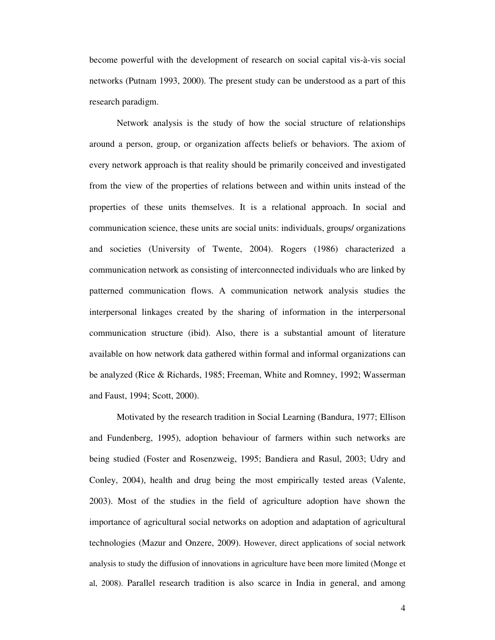become powerful with the development of research on social capital vis-à-vis social networks (Putnam 1993, 2000). The present study can be understood as a part of this research paradigm.

Network analysis is the study of how the social structure of relationships around a person, group, or organization affects beliefs or behaviors. The axiom of every network approach is that reality should be primarily conceived and investigated from the view of the properties of relations between and within units instead of the properties of these units themselves. It is a relational approach. In social and communication science, these units are social units: individuals, groups/ organizations and societies (University of Twente, 2004). Rogers (1986) characterized a communication network as consisting of interconnected individuals who are linked by patterned communication flows. A communication network analysis studies the interpersonal linkages created by the sharing of information in the interpersonal communication structure (ibid). Also, there is a substantial amount of literature available on how network data gathered within formal and informal organizations can be analyzed (Rice & Richards, 1985; Freeman, White and Romney, 1992; Wasserman and Faust, 1994; Scott, 2000).

Motivated by the research tradition in Social Learning (Bandura, 1977; Ellison and Fundenberg, 1995), adoption behaviour of farmers within such networks are being studied (Foster and Rosenzweig, 1995; Bandiera and Rasul, 2003; Udry and Conley, 2004), health and drug being the most empirically tested areas (Valente, 2003). Most of the studies in the field of agriculture adoption have shown the importance of agricultural social networks on adoption and adaptation of agricultural technologies (Mazur and Onzere, 2009). However, direct applications of social network analysis to study the diffusion of innovations in agriculture have been more limited (Monge et al, 2008). Parallel research tradition is also scarce in India in general, and among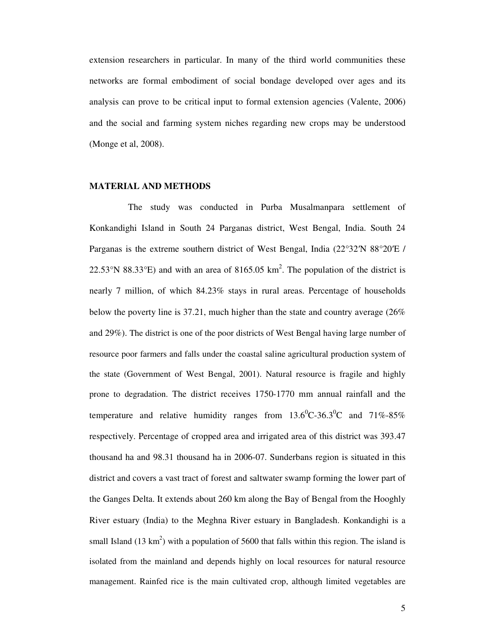extension researchers in particular. In many of the third world communities these networks are formal embodiment of social bondage developed over ages and its analysis can prove to be critical input to formal extension agencies (Valente, 2006) and the social and farming system niches regarding new crops may be understood (Monge et al, 2008).

# **MATERIAL AND METHODS**

 The study was conducted in Purba Musalmanpara settlement of Konkandighi Island in South 24 Parganas district, West Bengal, India. South 24 Parganas is the extreme southern district of West Bengal, India (22°32'N 88°20'E / 22.53°N 88.33°E) and with an area of 8165.05  $km^2$ . The population of the district is nearly 7 million, of which 84.23% stays in rural areas. Percentage of households below the poverty line is 37.21, much higher than the state and country average (26% and 29%). The district is one of the poor districts of West Bengal having large number of resource poor farmers and falls under the coastal saline agricultural production system of the state (Government of West Bengal, 2001). Natural resource is fragile and highly prone to degradation. The district receives 1750-1770 mm annual rainfall and the temperature and relative humidity ranges from  $13.6^{\circ}$ C-36.3<sup>o</sup>C and 71%-85% respectively. Percentage of cropped area and irrigated area of this district was 393.47 thousand ha and 98.31 thousand ha in 2006-07. Sunderbans region is situated in this district and covers a vast tract of forest and saltwater swamp forming the lower part of the Ganges Delta. It extends about 260 km along the Bay of Bengal from the Hooghly River estuary (India) to the Meghna River estuary in Bangladesh. Konkandighi is a small Island (13 km<sup>2</sup>) with a population of 5600 that falls within this region. The island is isolated from the mainland and depends highly on local resources for natural resource management. Rainfed rice is the main cultivated crop, although limited vegetables are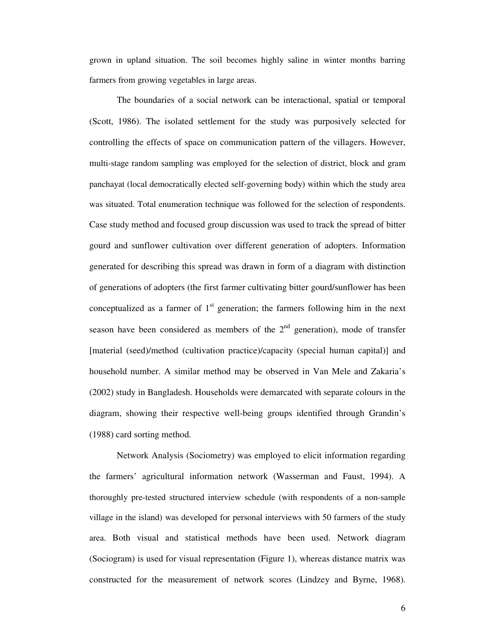grown in upland situation. The soil becomes highly saline in winter months barring farmers from growing vegetables in large areas.

The boundaries of a social network can be interactional, spatial or temporal (Scott, 1986). The isolated settlement for the study was purposively selected for controlling the effects of space on communication pattern of the villagers. However, multi-stage random sampling was employed for the selection of district, block and gram panchayat (local democratically elected self-governing body) within which the study area was situated. Total enumeration technique was followed for the selection of respondents. Case study method and focused group discussion was used to track the spread of bitter gourd and sunflower cultivation over different generation of adopters. Information generated for describing this spread was drawn in form of a diagram with distinction of generations of adopters (the first farmer cultivating bitter gourd/sunflower has been conceptualized as a farmer of  $1<sup>st</sup>$  generation; the farmers following him in the next season have been considered as members of the  $2<sup>nd</sup>$  generation), mode of transfer [material (seed)/method (cultivation practice)/capacity (special human capital)] and household number. A similar method may be observed in Van Mele and Zakaria's (2002) study in Bangladesh. Households were demarcated with separate colours in the diagram, showing their respective well-being groups identified through Grandin's (1988) card sorting method.

Network Analysis (Sociometry) was employed to elicit information regarding the farmers' agricultural information network (Wasserman and Faust, 1994). A thoroughly pre-tested structured interview schedule (with respondents of a non-sample village in the island) was developed for personal interviews with 50 farmers of the study area. Both visual and statistical methods have been used. Network diagram (Sociogram) is used for visual representation (Figure 1), whereas distance matrix was constructed for the measurement of network scores (Lindzey and Byrne, 1968).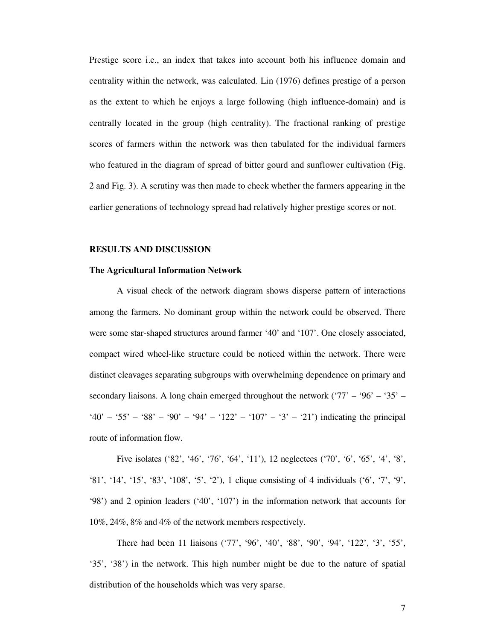Prestige score i.e., an index that takes into account both his influence domain and centrality within the network, was calculated. Lin (1976) defines prestige of a person as the extent to which he enjoys a large following (high influence-domain) and is centrally located in the group (high centrality). The fractional ranking of prestige scores of farmers within the network was then tabulated for the individual farmers who featured in the diagram of spread of bitter gourd and sunflower cultivation (Fig. 2 and Fig. 3). A scrutiny was then made to check whether the farmers appearing in the earlier generations of technology spread had relatively higher prestige scores or not.

# **RESULTS AND DISCUSSION**

#### **The Agricultural Information Network**

A visual check of the network diagram shows disperse pattern of interactions among the farmers. No dominant group within the network could be observed. There were some star-shaped structures around farmer '40' and '107'. One closely associated, compact wired wheel-like structure could be noticed within the network. There were distinct cleavages separating subgroups with overwhelming dependence on primary and secondary liaisons. A long chain emerged throughout the network ( $77' - 96' - 35' - 15$ ) '40' – '55' – '88' – '90' – '94' – '122' – '107' – '3' – '21') indicating the principal route of information flow.

Five isolates ('82', '46', '76', '64', '11'), 12 neglectees ('70', '6', '65', '4', '8', '81', '14', '15', '83', '108', '5', '2'), 1 clique consisting of 4 individuals ('6', '7', '9', '98') and 2 opinion leaders ('40', '107') in the information network that accounts for 10%, 24%, 8% and 4% of the network members respectively.

There had been 11 liaisons ('77', '96', '40', '88', '90', '94', '122', '3', '55', '35', '38') in the network. This high number might be due to the nature of spatial distribution of the households which was very sparse.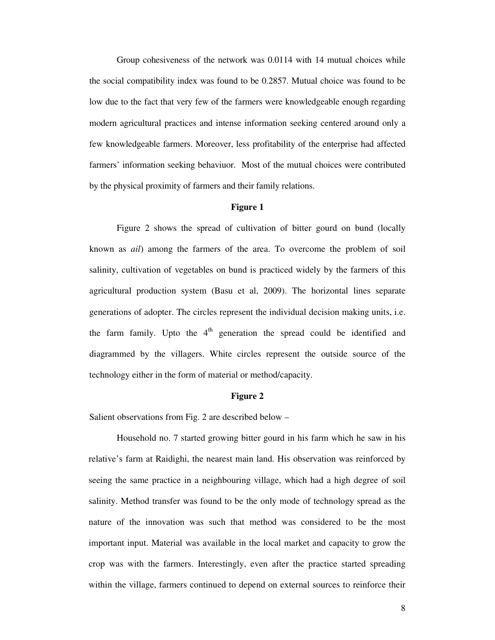Group cohesiveness of the network was 0.0114 with 14 mutual choices while the social compatibility index was found to be 0.2857. Mutual choice was found to be low due to the fact that very few of the farmers were knowledgeable enough regarding modern agricultural practices and intense information seeking centered around only a few knowledgeable farmers. Moreover, less profitability of the enterprise had affected farmers' information seeking behaviuor. Most of the mutual choices were contributed by the physical proximity of farmers and their family relations.

#### **Figure 1**

Figure 2 shows the spread of cultivation of bitter gourd on bund (locally known as *ail*) among the farmers of the area. To overcome the problem of soil salinity, cultivation of vegetables on bund is practiced widely by the farmers of this agricultural production system (Basu et al, 2009). The horizontal lines separate generations of adopter. The circles represent the individual decision making units, i.e. the farm family. Upto the  $4<sup>th</sup>$  generation the spread could be identified and diagrammed by the villagers. White circles represent the outside source of the technology either in the form of material or method/capacity.

#### **Figure 2**

Salient observations from Fig. 2 are described below –

Household no. 7 started growing bitter gourd in his farm which he saw in his relative's farm at Raidighi, the nearest main land. His observation was reinforced by seeing the same practice in a neighbouring village, which had a high degree of soil salinity. Method transfer was found to be the only mode of technology spread as the nature of the innovation was such that method was considered to be the most important input. Material was available in the local market and capacity to grow the crop was with the farmers. Interestingly, even after the practice started spreading within the village, farmers continued to depend on external sources to reinforce their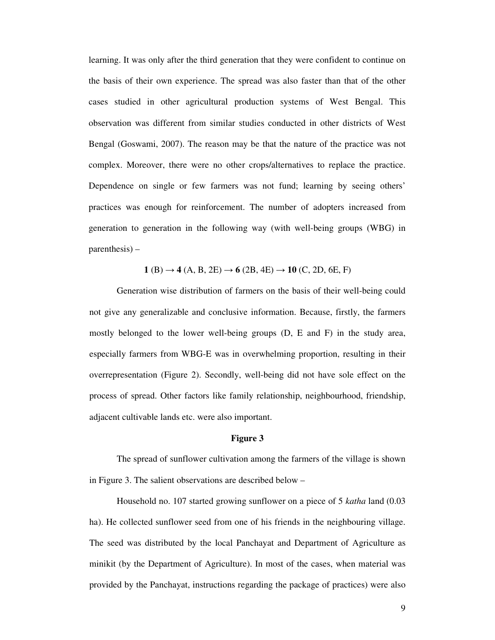learning. It was only after the third generation that they were confident to continue on the basis of their own experience. The spread was also faster than that of the other cases studied in other agricultural production systems of West Bengal. This observation was different from similar studies conducted in other districts of West Bengal (Goswami, 2007). The reason may be that the nature of the practice was not complex. Moreover, there were no other crops/alternatives to replace the practice. Dependence on single or few farmers was not fund; learning by seeing others' practices was enough for reinforcement. The number of adopters increased from generation to generation in the following way (with well-being groups (WBG) in parenthesis) –

 $1$  (B)  $\rightarrow$  **4** (A, B, 2E)  $\rightarrow$  **6** (2B, 4E)  $\rightarrow$  **10** (C, 2D, 6E, F)

 Generation wise distribution of farmers on the basis of their well-being could not give any generalizable and conclusive information. Because, firstly, the farmers mostly belonged to the lower well-being groups (D, E and F) in the study area, especially farmers from WBG-E was in overwhelming proportion, resulting in their overrepresentation (Figure 2). Secondly, well-being did not have sole effect on the process of spread. Other factors like family relationship, neighbourhood, friendship, adjacent cultivable lands etc. were also important.

#### **Figure 3**

The spread of sunflower cultivation among the farmers of the village is shown in Figure 3. The salient observations are described below –

Household no. 107 started growing sunflower on a piece of 5 *katha* land (0.03 ha). He collected sunflower seed from one of his friends in the neighbouring village. The seed was distributed by the local Panchayat and Department of Agriculture as minikit (by the Department of Agriculture). In most of the cases, when material was provided by the Panchayat, instructions regarding the package of practices) were also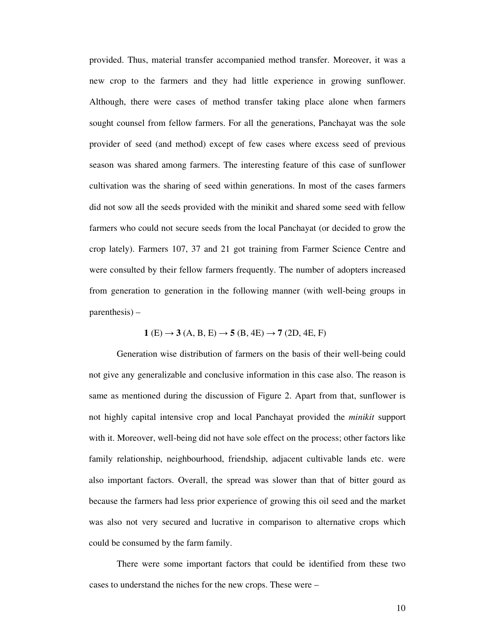provided. Thus, material transfer accompanied method transfer. Moreover, it was a new crop to the farmers and they had little experience in growing sunflower. Although, there were cases of method transfer taking place alone when farmers sought counsel from fellow farmers. For all the generations, Panchayat was the sole provider of seed (and method) except of few cases where excess seed of previous season was shared among farmers. The interesting feature of this case of sunflower cultivation was the sharing of seed within generations. In most of the cases farmers did not sow all the seeds provided with the minikit and shared some seed with fellow farmers who could not secure seeds from the local Panchayat (or decided to grow the crop lately). Farmers 107, 37 and 21 got training from Farmer Science Centre and were consulted by their fellow farmers frequently. The number of adopters increased from generation to generation in the following manner (with well-being groups in parenthesis) –

$$
1(E) \to 3(A, B, E) \to 5(B, 4E) \to 7(2D, 4E, F)
$$

Generation wise distribution of farmers on the basis of their well-being could not give any generalizable and conclusive information in this case also. The reason is same as mentioned during the discussion of Figure 2. Apart from that, sunflower is not highly capital intensive crop and local Panchayat provided the *minikit* support with it. Moreover, well-being did not have sole effect on the process; other factors like family relationship, neighbourhood, friendship, adjacent cultivable lands etc. were also important factors. Overall, the spread was slower than that of bitter gourd as because the farmers had less prior experience of growing this oil seed and the market was also not very secured and lucrative in comparison to alternative crops which could be consumed by the farm family.

There were some important factors that could be identified from these two cases to understand the niches for the new crops. These were –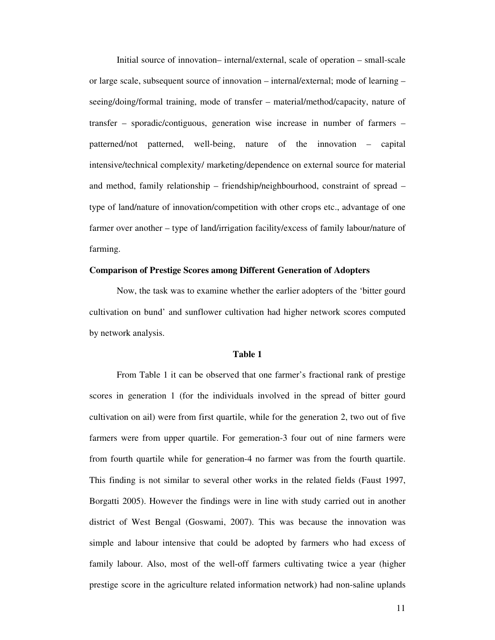Initial source of innovation– internal/external, scale of operation – small-scale or large scale, subsequent source of innovation – internal/external; mode of learning – seeing/doing/formal training, mode of transfer – material/method/capacity, nature of transfer – sporadic/contiguous, generation wise increase in number of farmers – patterned/not patterned, well-being, nature of the innovation – capital intensive/technical complexity/ marketing/dependence on external source for material and method, family relationship – friendship/neighbourhood, constraint of spread – type of land/nature of innovation/competition with other crops etc., advantage of one farmer over another – type of land/irrigation facility/excess of family labour/nature of farming.

#### **Comparison of Prestige Scores among Different Generation of Adopters**

Now, the task was to examine whether the earlier adopters of the 'bitter gourd cultivation on bund' and sunflower cultivation had higher network scores computed by network analysis.

#### **Table 1**

From Table 1 it can be observed that one farmer's fractional rank of prestige scores in generation 1 (for the individuals involved in the spread of bitter gourd cultivation on ail) were from first quartile, while for the generation 2, two out of five farmers were from upper quartile. For gemeration-3 four out of nine farmers were from fourth quartile while for generation-4 no farmer was from the fourth quartile. This finding is not similar to several other works in the related fields (Faust 1997, Borgatti 2005). However the findings were in line with study carried out in another district of West Bengal (Goswami, 2007). This was because the innovation was simple and labour intensive that could be adopted by farmers who had excess of family labour. Also, most of the well-off farmers cultivating twice a year (higher prestige score in the agriculture related information network) had non-saline uplands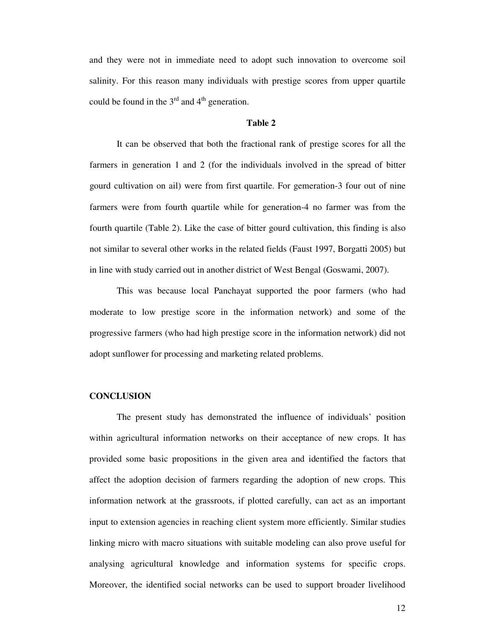and they were not in immediate need to adopt such innovation to overcome soil salinity. For this reason many individuals with prestige scores from upper quartile could be found in the  $3<sup>rd</sup>$  and  $4<sup>th</sup>$  generation.

#### **Table 2**

It can be observed that both the fractional rank of prestige scores for all the farmers in generation 1 and 2 (for the individuals involved in the spread of bitter gourd cultivation on ail) were from first quartile. For gemeration-3 four out of nine farmers were from fourth quartile while for generation-4 no farmer was from the fourth quartile (Table 2). Like the case of bitter gourd cultivation, this finding is also not similar to several other works in the related fields (Faust 1997, Borgatti 2005) but in line with study carried out in another district of West Bengal (Goswami, 2007).

This was because local Panchayat supported the poor farmers (who had moderate to low prestige score in the information network) and some of the progressive farmers (who had high prestige score in the information network) did not adopt sunflower for processing and marketing related problems.

# **CONCLUSION**

The present study has demonstrated the influence of individuals' position within agricultural information networks on their acceptance of new crops. It has provided some basic propositions in the given area and identified the factors that affect the adoption decision of farmers regarding the adoption of new crops. This information network at the grassroots, if plotted carefully, can act as an important input to extension agencies in reaching client system more efficiently. Similar studies linking micro with macro situations with suitable modeling can also prove useful for analysing agricultural knowledge and information systems for specific crops. Moreover, the identified social networks can be used to support broader livelihood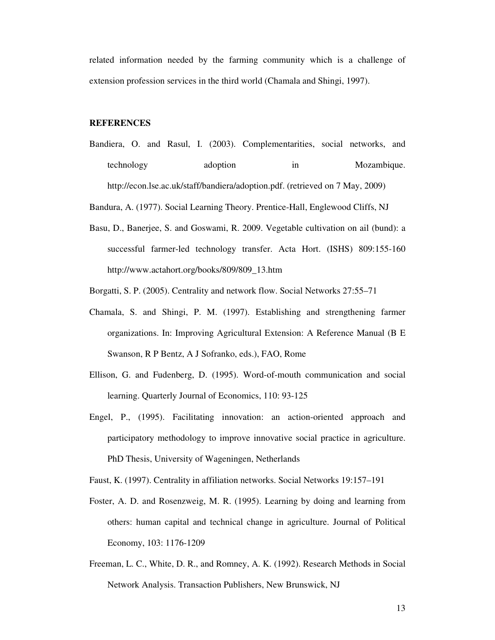related information needed by the farming community which is a challenge of extension profession services in the third world (Chamala and Shingi, 1997).

#### **REFERENCES**

Bandiera, O. and Rasul, I. (2003). Complementarities, social networks, and technology adoption in Mozambique. http://econ.lse.ac.uk/staff/bandiera/adoption.pdf. (retrieved on 7 May, 2009)

Bandura, A. (1977). Social Learning Theory. Prentice-Hall, Englewood Cliffs, NJ

Basu, D., Banerjee, S. and Goswami, R. 2009. Vegetable cultivation on ail (bund): a successful farmer-led technology transfer. Acta Hort. (ISHS) 809:155-160 http://www.actahort.org/books/809/809\_13.htm

Borgatti, S. P. (2005). Centrality and network flow. Social Networks 27:55–71

- Chamala, S. and Shingi, P. M. (1997). Establishing and strengthening farmer organizations. In: Improving Agricultural Extension: A Reference Manual (B E Swanson, R P Bentz, A J Sofranko, eds.), FAO, Rome
- Ellison, G. and Fudenberg, D. (1995). Word-of-mouth communication and social learning. Quarterly Journal of Economics, 110: 93-125
- Engel, P., (1995). Facilitating innovation: an action-oriented approach and participatory methodology to improve innovative social practice in agriculture. PhD Thesis, University of Wageningen, Netherlands

Faust, K. (1997). Centrality in affiliation networks. Social Networks 19:157–191

- Foster, A. D. and Rosenzweig, M. R. (1995). Learning by doing and learning from others: human capital and technical change in agriculture. Journal of Political Economy, 103: 1176-1209
- Freeman, L. C., White, D. R., and Romney, A. K. (1992). Research Methods in Social Network Analysis. Transaction Publishers, New Brunswick, NJ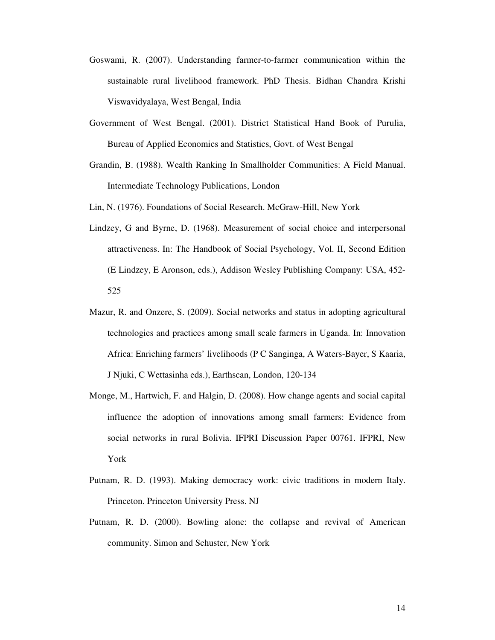- Goswami, R. (2007). Understanding farmer-to-farmer communication within the sustainable rural livelihood framework. PhD Thesis. Bidhan Chandra Krishi Viswavidyalaya, West Bengal, India
- Government of West Bengal. (2001). District Statistical Hand Book of Purulia, Bureau of Applied Economics and Statistics, Govt. of West Bengal
- Grandin, B. (1988). Wealth Ranking In Smallholder Communities: A Field Manual. Intermediate Technology Publications, London

Lin, N. (1976). Foundations of Social Research. McGraw-Hill, New York

- Lindzey, G and Byrne, D. (1968). Measurement of social choice and interpersonal attractiveness. In: The Handbook of Social Psychology, Vol. II, Second Edition (E Lindzey, E Aronson, eds.), Addison Wesley Publishing Company: USA, 452- 525
- Mazur, R. and Onzere, S. (2009). Social networks and status in adopting agricultural technologies and practices among small scale farmers in Uganda. In: Innovation Africa: Enriching farmers' livelihoods (P C Sanginga, A Waters-Bayer, S Kaaria, J Njuki, C Wettasinha eds.), Earthscan, London, 120-134
- Monge, M., Hartwich, F. and Halgin, D. (2008). How change agents and social capital influence the adoption of innovations among small farmers: Evidence from social networks in rural Bolivia. IFPRI Discussion Paper 00761. IFPRI, New York
- Putnam, R. D. (1993). Making democracy work: civic traditions in modern Italy. Princeton. Princeton University Press. NJ
- Putnam, R. D. (2000). Bowling alone: the collapse and revival of American community. Simon and Schuster, New York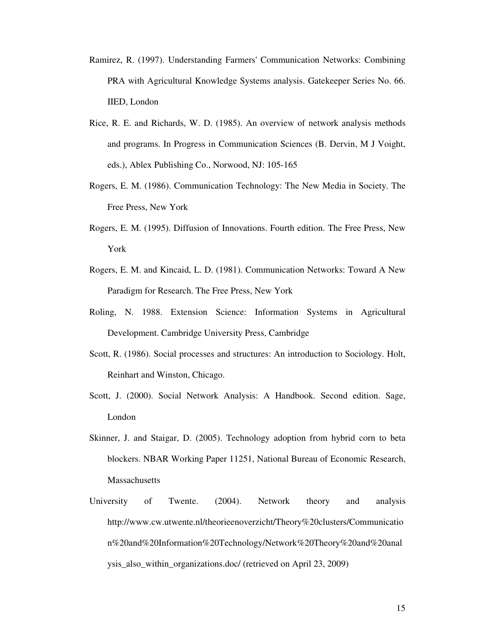- Ramirez, R. (1997). Understanding Farmers' Communication Networks: Combining PRA with Agricultural Knowledge Systems analysis. Gatekeeper Series No. 66. IIED, London
- Rice, R. E. and Richards, W. D. (1985). An overview of network analysis methods and programs. In Progress in Communication Sciences (B. Dervin, M J Voight, eds.), Ablex Publishing Co., Norwood, NJ: 105-165
- Rogers, E. M. (1986). Communication Technology: The New Media in Society. The Free Press, New York
- Rogers, E. M. (1995). Diffusion of Innovations. Fourth edition. The Free Press, New York
- Rogers, E. M. and Kincaid, L. D. (1981). Communication Networks: Toward A New Paradigm for Research. The Free Press, New York
- Roling, N. 1988. Extension Science: Information Systems in Agricultural Development. Cambridge University Press, Cambridge
- Scott, R. (1986). Social processes and structures: An introduction to Sociology. Holt, Reinhart and Winston, Chicago.
- Scott, J. (2000). Social Network Analysis: A Handbook. Second edition. Sage, London
- Skinner, J. and Staigar, D. (2005). Technology adoption from hybrid corn to beta blockers. NBAR Working Paper 11251, National Bureau of Economic Research, **Massachusetts**
- University of Twente. (2004). Network theory and analysis http://www.cw.utwente.nl/theorieenoverzicht/Theory%20clusters/Communicatio n%20and%20Information%20Technology/Network%20Theory%20and%20anal ysis\_also\_within\_organizations.doc/ (retrieved on April 23, 2009)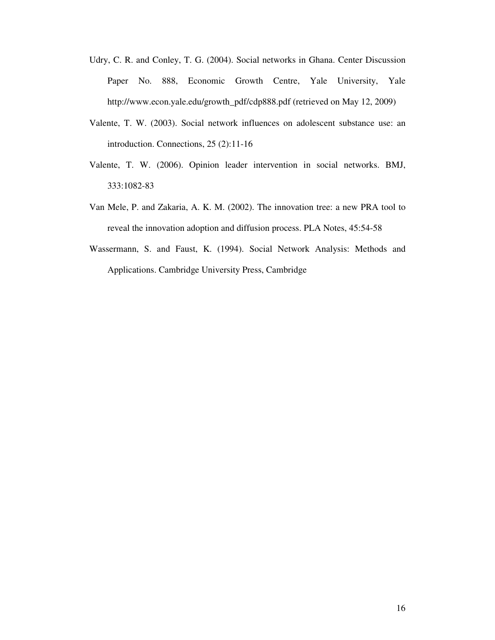- Udry, C. R. and Conley, T. G. (2004). Social networks in Ghana. Center Discussion Paper No. 888, Economic Growth Centre, Yale University, Yale http://www.econ.yale.edu/growth\_pdf/cdp888.pdf (retrieved on May 12, 2009)
- Valente, T. W. (2003). Social network influences on adolescent substance use: an introduction. Connections, 25 (2):11-16
- Valente, T. W. (2006). Opinion leader intervention in social networks. BMJ, 333:1082-83
- Van Mele, P. and Zakaria, A. K. M. (2002). The innovation tree: a new PRA tool to reveal the innovation adoption and diffusion process. PLA Notes, 45:54-58
- Wassermann, S. and Faust, K. (1994). Social Network Analysis: Methods and Applications. Cambridge University Press, Cambridge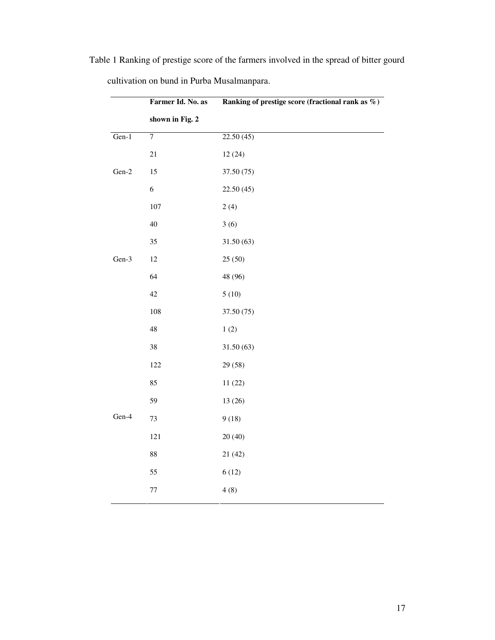|         | Farmer Id. No. as | Ranking of prestige score (fractional rank as $\%$ ) |
|---------|-------------------|------------------------------------------------------|
|         | shown in Fig. 2   |                                                      |
| $Gen-1$ | $\overline{7}$    | 22.50(45)                                            |
|         | $21\,$            | 12(24)                                               |
| $Gen-2$ | 15                | 37.50 (75)                                           |
|         | $\sqrt{6}$        | 22.50 (45)                                           |
|         | 107               | 2(4)                                                 |
|         | 40                | 3(6)                                                 |
|         | 35                | 31.50(63)                                            |
| Gen-3   | 12                | 25(50)                                               |
|         | 64                | 48 (96)                                              |
|         | 42                | 5(10)                                                |
|         | 108               | 37.50 (75)                                           |
|         | 48                | 1(2)                                                 |
|         | 38                | 31.50(63)                                            |
|         | 122               | 29 (58)                                              |
|         | 85                | 11(22)                                               |
|         | 59                | 13 (26)                                              |
| Gen-4   | 73                | 9(18)                                                |
|         | 121               | 20(40)                                               |
|         | $88\,$            | 21(42)                                               |
|         | 55                | 6(12)                                                |
|         | $77\,$            | 4(8)                                                 |
|         |                   |                                                      |

Table 1 Ranking of prestige score of the farmers involved in the spread of bitter gourd

cultivation on bund in Purba Musalmanpara.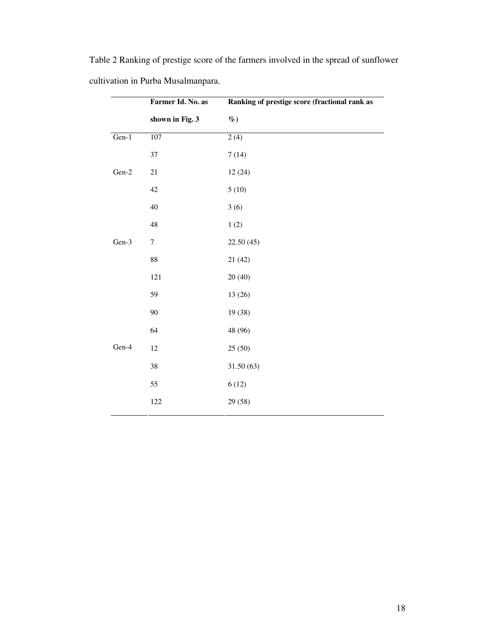|         | Farmer Id. No. as<br>shown in Fig. 3 | Ranking of prestige score (fractional rank as<br>$\%$ ) |
|---------|--------------------------------------|---------------------------------------------------------|
|         |                                      |                                                         |
| Gen-1   | 107                                  | 2(4)                                                    |
|         | 37                                   | 7(14)                                                   |
| $Gen-2$ | 21                                   | 12(24)                                                  |
|         | 42                                   | 5(10)                                                   |
|         | 40                                   | 3(6)                                                    |
|         | 48                                   | $1\ (2)$                                                |
| Gen-3   | $\tau$                               | 22.50 (45)                                              |
|         | $88\,$                               | 21 (42)                                                 |
|         | 121                                  | 20(40)                                                  |
|         | 59                                   | 13 (26)                                                 |
|         | 90                                   | 19 (38)                                                 |
|         | 64                                   | 48 (96)                                                 |
| Gen-4   | 12                                   | 25(50)                                                  |
|         | 38                                   | 31.50(63)                                               |
|         | 55                                   | 6(12)                                                   |
|         | 122                                  | 29 (58)                                                 |

Table 2 Ranking of prestige score of the farmers involved in the spread of sunflower cultivation in Purba Musalmanpara.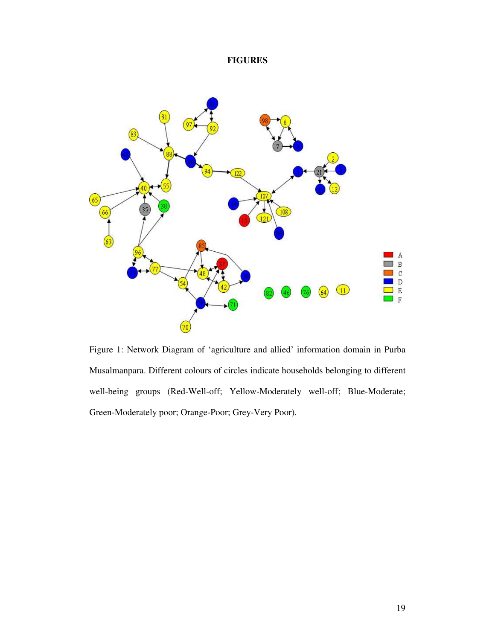# **FIGURES**



Figure 1: Network Diagram of 'agriculture and allied' information domain in Purba Musalmanpara. Different colours of circles indicate households belonging to different well-being groups (Red-Well-off; Yellow-Moderately well-off; Blue-Moderate; Green-Moderately poor; Orange-Poor; Grey-Very Poor).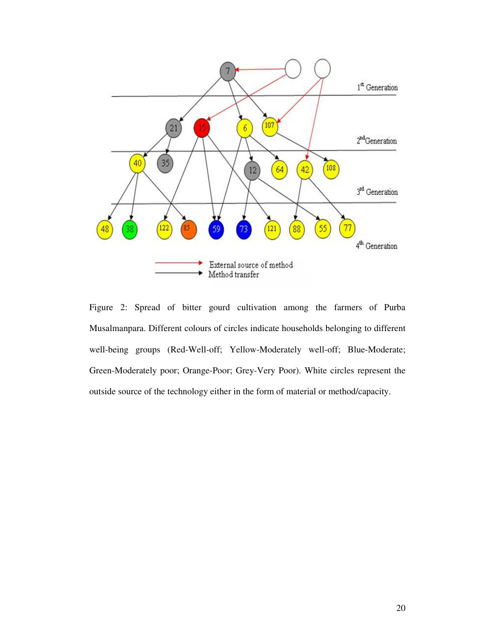

Figure 2: Spread of bitter gourd cultivation among the farmers of Purba Musalmanpara. Different colours of circles indicate households belonging to different well-being groups (Red-Well-off; Yellow-Moderately well-off; Blue-Moderate; Green-Moderately poor; Orange-Poor; Grey-Very Poor). White circles represent the outside source of the technology either in the form of material or method/capacity.